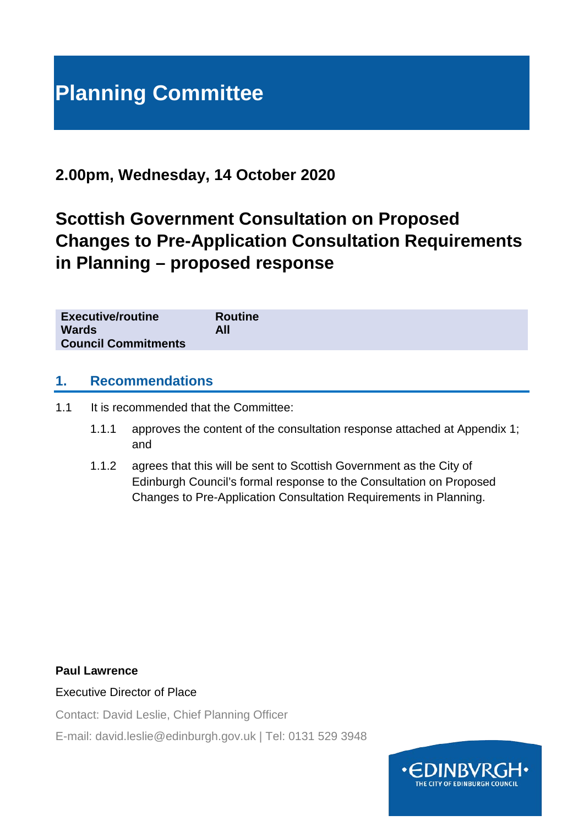# **Planning Committee**

## **2.00pm, Wednesday, 14 October 2020**

## **Scottish Government Consultation on Proposed Changes to Pre-Application Consultation Requirements in Planning – proposed response**

|  | <b>Executive/routine</b><br><b>Wards</b><br><b>Council Commitments</b> | <b>Routine</b><br>All |  |  |  |
|--|------------------------------------------------------------------------|-----------------------|--|--|--|
|--|------------------------------------------------------------------------|-----------------------|--|--|--|

## **1. Recommendations**

1.1 It is recommended that the Committee:

- 1.1.1 approves the content of the consultation response attached at Appendix 1; and
- 1.1.2 agrees that this will be sent to Scottish Government as the City of Edinburgh Council's formal response to the Consultation on Proposed Changes to Pre-Application Consultation Requirements in Planning.

#### **Paul Lawrence**

#### Executive Director of Place

Contact: David Leslie, Chief Planning Officer

E-mail: david.leslie@edinburgh.gov.uk | Tel: 0131 529 3948

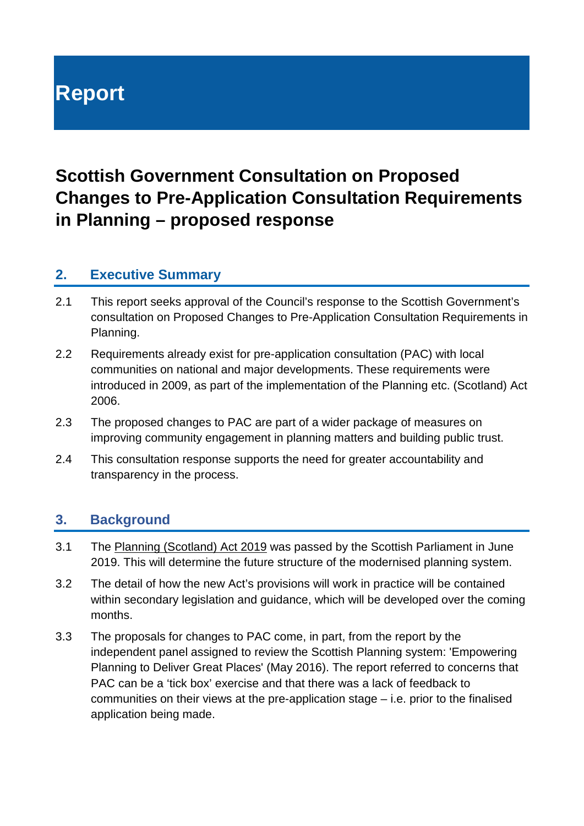# **Report**

## **Scottish Government Consultation on Proposed Changes to Pre-Application Consultation Requirements in Planning – proposed response**

## **2. Executive Summary**

- 2.1 This report seeks approval of the Council's response to the Scottish Government's consultation on Proposed Changes to Pre-Application Consultation Requirements in Planning.
- 2.2 Requirements already exist for pre-application consultation (PAC) with local communities on national and major developments. These requirements were introduced in 2009, as part of the implementation of the Planning etc. (Scotland) Act 2006.
- 2.3 The proposed changes to PAC are part of a wider package of measures on improving community engagement in planning matters and building public trust.
- 2.4 This consultation response supports the need for greater accountability and transparency in the process.

## **3. Background**

- 3.1 The [Planning \(Scotland\) Act 2019](http://www.legislation.gov.uk/asp/2019/13/contents/enacted) was passed by the Scottish Parliament in June 2019. This will determine the future structure of the modernised planning system.
- 3.2 The detail of how the new Act's provisions will work in practice will be contained within secondary legislation and guidance, which will be developed over the coming months.
- 3.3 The proposals for changes to PAC come, in part, from the report by the independent panel assigned to review the Scottish Planning system: 'Empowering Planning to Deliver Great Places' (May 2016). The report referred to concerns that PAC can be a 'tick box' exercise and that there was a lack of feedback to communities on their views at the pre-application stage – i.e. prior to the finalised application being made.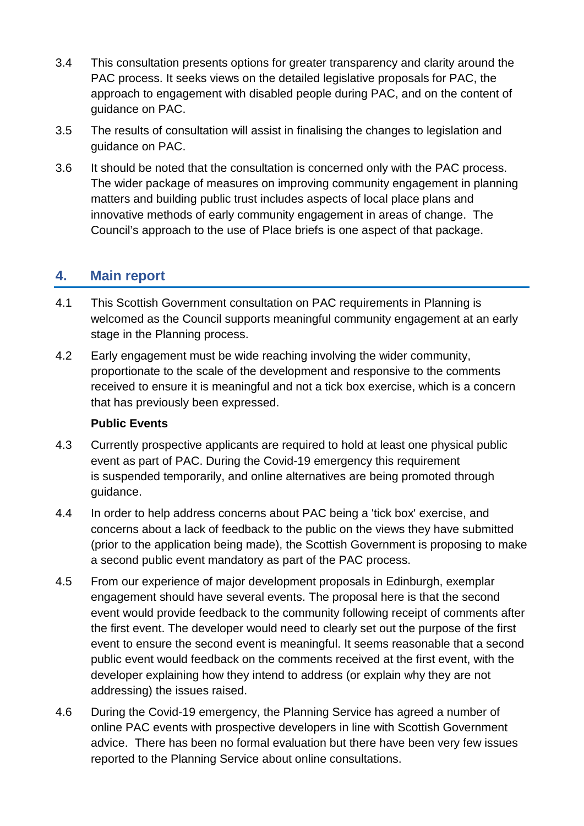- 3.4 This consultation presents options for greater transparency and clarity around the PAC process. It seeks views on the detailed legislative proposals for PAC, the approach to engagement with disabled people during PAC, and on the content of guidance on PAC.
- 3.5 The results of consultation will assist in finalising the changes to legislation and guidance on PAC.
- 3.6 It should be noted that the consultation is concerned only with the PAC process. The wider package of measures on improving community engagement in planning matters and building public trust includes aspects of local place plans and innovative methods of early community engagement in areas of change. The Council's approach to the use of Place briefs is one aspect of that package.

## **4. Main report**

- 4.1 This Scottish Government consultation on PAC requirements in Planning is welcomed as the Council supports meaningful community engagement at an early stage in the Planning process.
- 4.2 Early engagement must be wide reaching involving the wider community, proportionate to the scale of the development and responsive to the comments received to ensure it is meaningful and not a tick box exercise, which is a concern that has previously been expressed.

#### **Public Events**

- 4.3 Currently prospective applicants are required to hold at least one physical public event as part of PAC. During the Covid-19 emergency this requirement is suspended temporarily, and online alternatives are being promoted through guidance.
- 4.4 In order to help address concerns about PAC being a 'tick box' exercise, and concerns about a lack of feedback to the public on the views they have submitted (prior to the application being made), the Scottish Government is proposing to make a second public event mandatory as part of the PAC process.
- 4.5 From our experience of major development proposals in Edinburgh, exemplar engagement should have several events. The proposal here is that the second event would provide feedback to the community following receipt of comments after the first event. The developer would need to clearly set out the purpose of the first event to ensure the second event is meaningful. It seems reasonable that a second public event would feedback on the comments received at the first event, with the developer explaining how they intend to address (or explain why they are not addressing) the issues raised.
- 4.6 During the Covid-19 emergency, the Planning Service has agreed a number of online PAC events with prospective developers in line with Scottish Government advice. There has been no formal evaluation but there have been very few issues reported to the Planning Service about online consultations.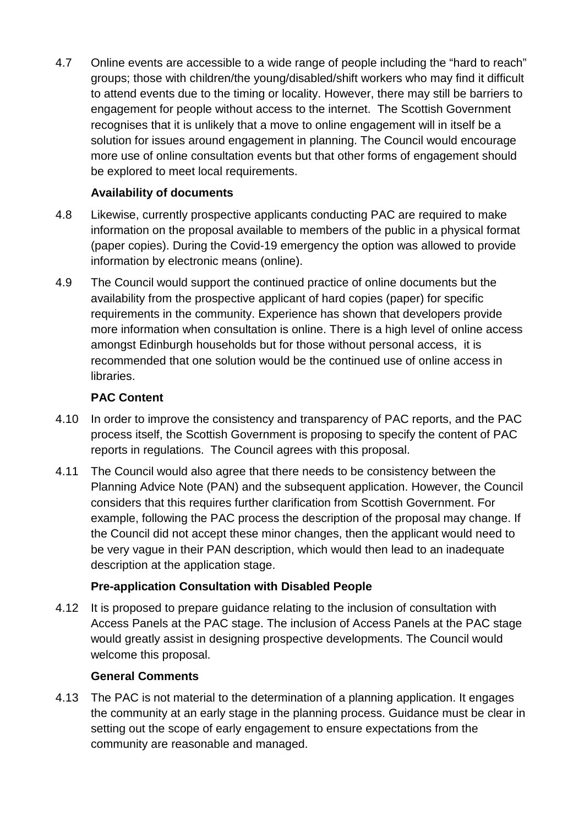4.7 Online events are accessible to a wide range of people including the "hard to reach" groups; those with children/the young/disabled/shift workers who may find it difficult to attend events due to the timing or locality. However, there may still be barriers to engagement for people without access to the internet. The Scottish Government recognises that it is unlikely that a move to online engagement will in itself be a solution for issues around engagement in planning. The Council would encourage more use of online consultation events but that other forms of engagement should be explored to meet local requirements.

## **Availability of documents**

- 4.8 Likewise, currently prospective applicants conducting PAC are required to make information on the proposal available to members of the public in a physical format (paper copies). During the Covid-19 emergency the option was allowed to provide information by electronic means (online).
- 4.9 The Council would support the continued practice of online documents but the availability from the prospective applicant of hard copies (paper) for specific requirements in the community. Experience has shown that developers provide more information when consultation is online. There is a high level of online access amongst Edinburgh households but for those without personal access, it is recommended that one solution would be the continued use of online access in libraries.

## **PAC Content**

- 4.10 In order to improve the consistency and transparency of PAC reports, and the PAC process itself, the Scottish Government is proposing to specify the content of PAC reports in regulations. The Council agrees with this proposal.
- 4.11 The Council would also agree that there needs to be consistency between the Planning Advice Note (PAN) and the subsequent application. However, the Council considers that this requires further clarification from Scottish Government. For example, following the PAC process the description of the proposal may change. If the Council did not accept these minor changes, then the applicant would need to be very vague in their PAN description, which would then lead to an inadequate description at the application stage.

## **Pre-application Consultation with Disabled People**

4.12 It is proposed to prepare guidance relating to the inclusion of consultation with Access Panels at the PAC stage. The inclusion of Access Panels at the PAC stage would greatly assist in designing prospective developments. The Council would welcome this proposal.

#### **General Comments**

4.13 The PAC is not material to the determination of a planning application. It engages the community at an early stage in the planning process. Guidance must be clear in setting out the scope of early engagement to ensure expectations from the community are reasonable and managed.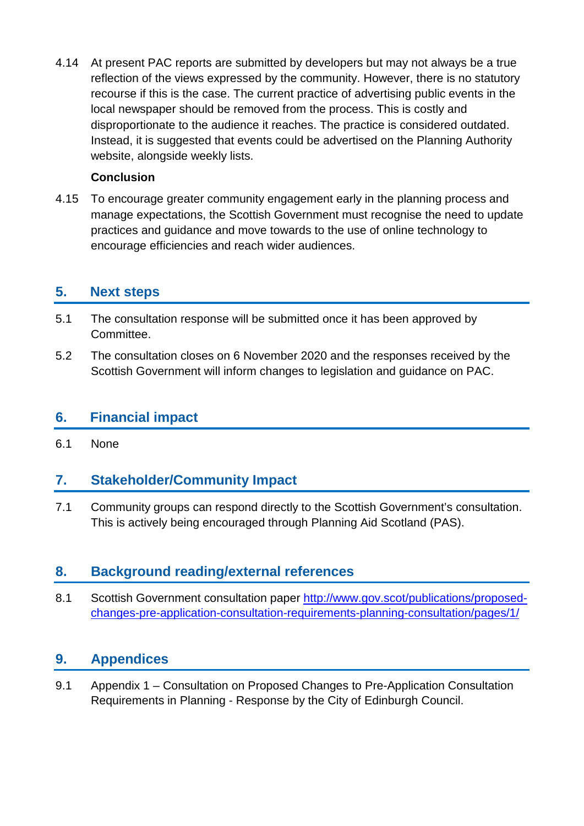4.14 At present PAC reports are submitted by developers but may not always be a true reflection of the views expressed by the community. However, there is no statutory recourse if this is the case. The current practice of advertising public events in the local newspaper should be removed from the process. This is costly and disproportionate to the audience it reaches. The practice is considered outdated. Instead, it is suggested that events could be advertised on the Planning Authority website, alongside weekly lists.

#### **Conclusion**

4.15 To encourage greater community engagement early in the planning process and manage expectations, the Scottish Government must recognise the need to update practices and guidance and move towards to the use of online technology to encourage efficiencies and reach wider audiences.

## **5. Next steps**

- 5.1 The consultation response will be submitted once it has been approved by Committee.
- 5.2 The consultation closes on 6 November 2020 and the responses received by the Scottish Government will inform changes to legislation and guidance on PAC.

## **6. Financial impact**

6.1 None

## **7. Stakeholder/Community Impact**

7.1 Community groups can respond directly to the Scottish Government's consultation. This is actively being encouraged through Planning Aid Scotland (PAS).

## **8. Background reading/external references**

8.1 Scottish Government consultation paper [http://www.gov.scot/publications/proposed](http://www.gov.scot/publications/proposed-changes-pre-application-consultation-requirements-planning-consultation/pages/1/)[changes-pre-application-consultation-requirements-planning-consultation/pages/1/](http://www.gov.scot/publications/proposed-changes-pre-application-consultation-requirements-planning-consultation/pages/1/)

## **9. Appendices**

9.1 Appendix 1 – Consultation on Proposed Changes to Pre-Application Consultation Requirements in Planning - Response by the City of Edinburgh Council.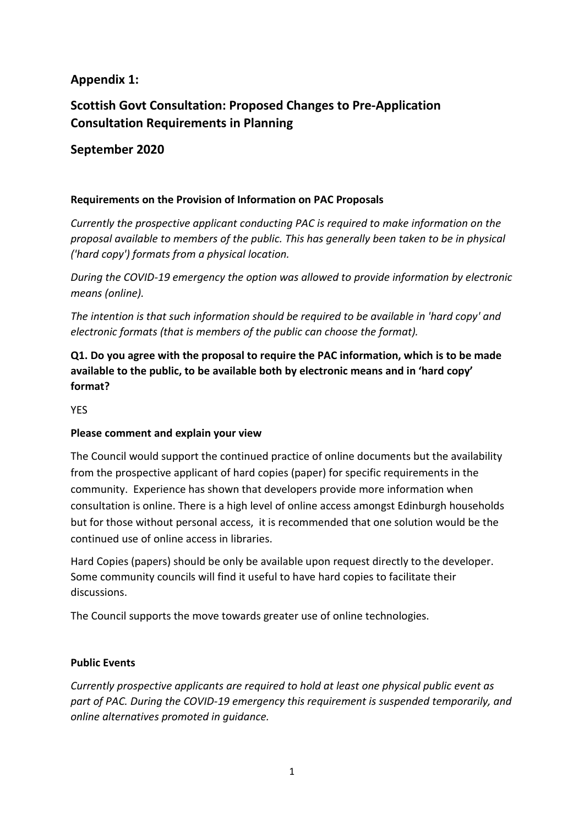## **Appendix 1:**

## **Scottish Govt Consultation: Proposed Changes to Pre-Application Consultation Requirements in Planning**

## **September 2020**

#### **Requirements on the Provision of Information on PAC Proposals**

*Currently the prospective applicant conducting PAC is required to make information on the proposal available to members of the public. This has generally been taken to be in physical ('hard copy') formats from a physical location.*

*During the COVID-19 emergency the option was allowed to provide information by electronic means (online).*

*The intention is that such information should be required to be available in 'hard copy' and electronic formats (that is members of the public can choose the format).*

## **Q1. Do you agree with the proposal to require the PAC information, which is to be made available to the public, to be available both by electronic means and in 'hard copy' format?**

YES

#### **Please comment and explain your view**

The Council would support the continued practice of online documents but the availability from the prospective applicant of hard copies (paper) for specific requirements in the community. Experience has shown that developers provide more information when consultation is online. There is a high level of online access amongst Edinburgh households but for those without personal access, it is recommended that one solution would be the continued use of online access in libraries.

Hard Copies (papers) should be only be available upon request directly to the developer. Some community councils will find it useful to have hard copies to facilitate their discussions.

The Council supports the move towards greater use of online technologies.

#### **Public Events**

*Currently prospective applicants are required to hold at least one physical public event as part of PAC. During the COVID-19 emergency this requirement is suspended temporarily, and online alternatives promoted in guidance.*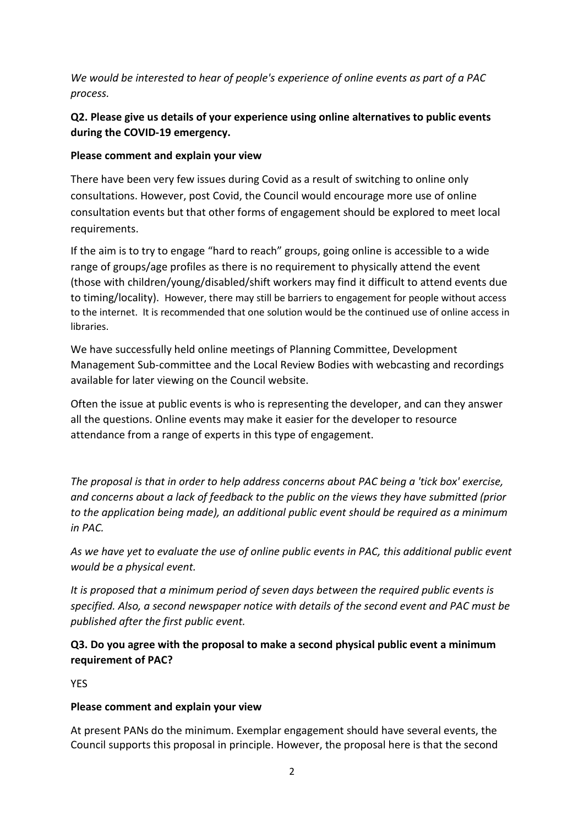*We would be interested to hear of people's experience of online events as part of a PAC process.*

## **Q2. Please give us details of your experience using online alternatives to public events during the COVID-19 emergency.**

#### **Please comment and explain your view**

There have been very few issues during Covid as a result of switching to online only consultations. However, post Covid, the Council would encourage more use of online consultation events but that other forms of engagement should be explored to meet local requirements.

If the aim is to try to engage "hard to reach" groups, going online is accessible to a wide range of groups/age profiles as there is no requirement to physically attend the event (those with children/young/disabled/shift workers may find it difficult to attend events due to timing/locality). However, there may still be barriers to engagement for people without access to the internet. It is recommended that one solution would be the continued use of online access in libraries.

We have successfully held online meetings of Planning Committee, Development Management Sub-committee and the Local Review Bodies with webcasting and recordings available for later viewing on the Council website.

Often the issue at public events is who is representing the developer, and can they answer all the questions. Online events may make it easier for the developer to resource attendance from a range of experts in this type of engagement.

*The proposal is that in order to help address concerns about PAC being a 'tick box' exercise, and concerns about a lack of feedback to the public on the views they have submitted (prior to the application being made), an additional public event should be required as a minimum in PAC.*

*As we have yet to evaluate the use of online public events in PAC, this additional public event would be a physical event.*

*It is proposed that a minimum period of seven days between the required public events is specified. Also, a second newspaper notice with details of the second event and PAC must be published after the first public event.*

**Q3. Do you agree with the proposal to make a second physical public event a minimum requirement of PAC?**

**YFS** 

#### **Please comment and explain your view**

At present PANs do the minimum. Exemplar engagement should have several events, the Council supports this proposal in principle. However, the proposal here is that the second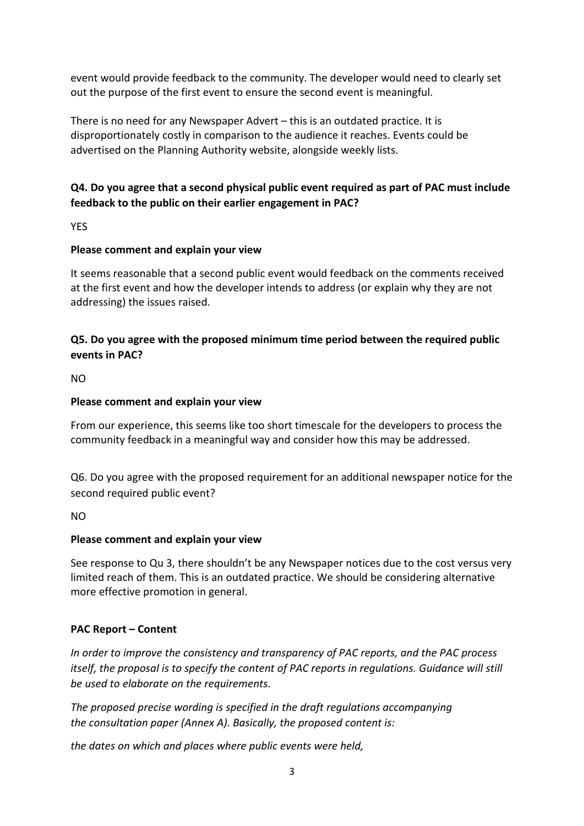event would provide feedback to the community. The developer would need to clearly set out the purpose of the first event to ensure the second event is meaningful.

There is no need for any Newspaper Advert – this is an outdated practice. It is disproportionately costly in comparison to the audience it reaches. Events could be advertised on the Planning Authority website, alongside weekly lists.

## **Q4. Do you agree that a second physical public event required as part of PAC must include feedback to the public on their earlier engagement in PAC?**

YES

#### **Please comment and explain your view**

It seems reasonable that a second public event would feedback on the comments received at the first event and how the developer intends to address (or explain why they are not addressing) the issues raised.

#### **Q5. Do you agree with the proposed minimum time period between the required public events in PAC?**

NO

#### **Please comment and explain your view**

From our experience, this seems like too short timescale for the developers to process the community feedback in a meaningful way and consider how this may be addressed.

Q6. Do you agree with the proposed requirement for an additional newspaper notice for the second required public event?

NO

#### **Please comment and explain your view**

See response to Qu 3, there shouldn't be any Newspaper notices due to the cost versus very limited reach of them. This is an outdated practice. We should be considering alternative more effective promotion in general.

#### **PAC Report – Content**

*In order to improve the consistency and transparency of PAC reports, and the PAC process itself, the proposal is to specify the content of PAC reports in regulations. Guidance will still be used to elaborate on the requirements.*

*The proposed precise wording is specified in the draft regulations accompanying the consultation paper (Annex A). Basically, the proposed content is:*

*the dates on which and places where public events were held,*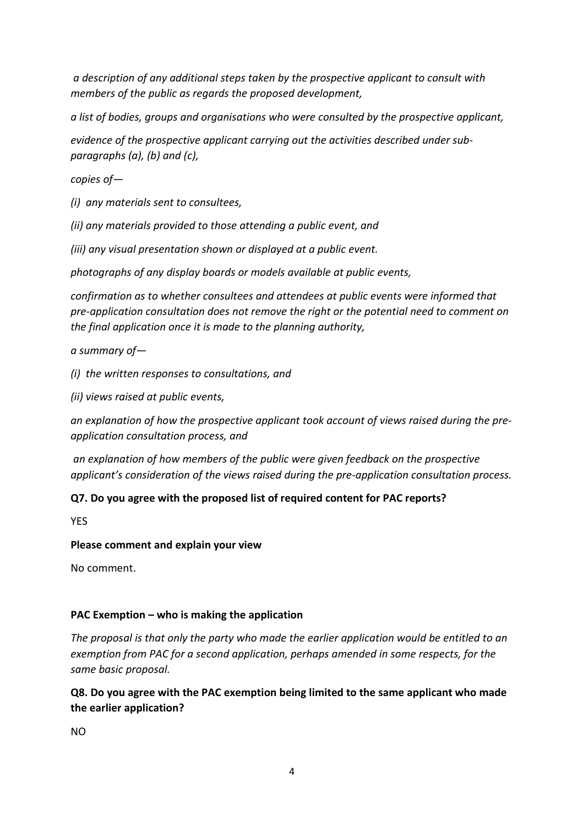*a description of any additional steps taken by the prospective applicant to consult with members of the public as regards the proposed development,*

*a list of bodies, groups and organisations who were consulted by the prospective applicant,*

*evidence of the prospective applicant carrying out the activities described under subparagraphs (a), (b) and (c),*

*copies of—*

*(i) any materials sent to consultees,*

*(ii) any materials provided to those attending a public event, and*

*(iii) any visual presentation shown or displayed at a public event.*

*photographs of any display boards or models available at public events,*

*confirmation as to whether consultees and attendees at public events were informed that pre-application consultation does not remove the right or the potential need to comment on the final application once it is made to the planning authority,*

*a summary of—*

*(i) the written responses to consultations, and*

*(ii) views raised at public events,*

*an explanation of how the prospective applicant took account of views raised during the preapplication consultation process, and*

*an explanation of how members of the public were given feedback on the prospective applicant's consideration of the views raised during the pre-application consultation process.*

#### **Q7. Do you agree with the proposed list of required content for PAC reports?**

YES

#### **Please comment and explain your view**

No comment.

#### **PAC Exemption – who is making the application**

*The proposal is that only the party who made the earlier application would be entitled to an exemption from PAC for a second application, perhaps amended in some respects, for the same basic proposal.*

**Q8. Do you agree with the PAC exemption being limited to the same applicant who made the earlier application?**

NO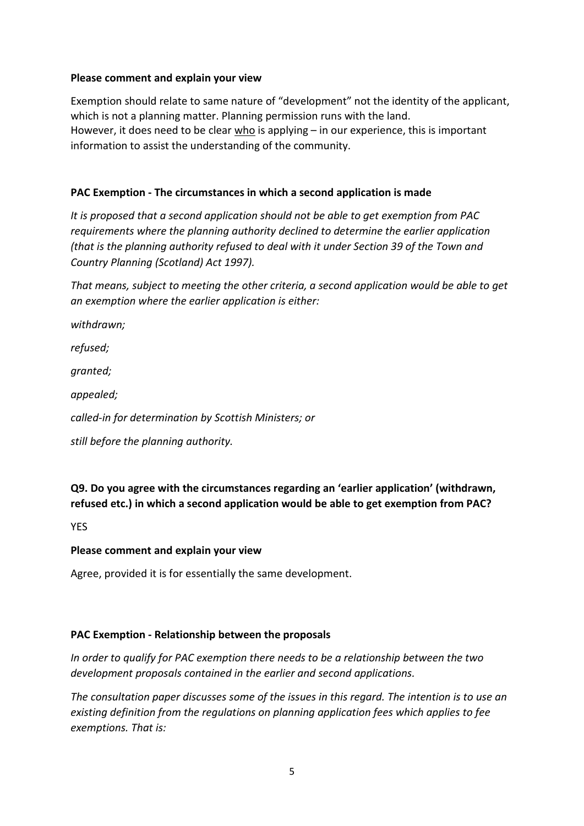#### **Please comment and explain your view**

Exemption should relate to same nature of "development" not the identity of the applicant, which is not a planning matter. Planning permission runs with the land. However, it does need to be clear  $who$  is applying – in our experience, this is important information to assist the understanding of the community.

#### **PAC Exemption - The circumstances in which a second application is made**

*It is proposed that a second application should not be able to get exemption from PAC requirements where the planning authority declined to determine the earlier application (that is the planning authority refused to deal with it under Section 39 of the Town and Country Planning (Scotland) Act 1997).*

*That means, subject to meeting the other criteria, a second application would be able to get an exemption where the earlier application is either:*

*withdrawn;*

*refused;*

*granted;*

*appealed;*

*called-in for determination by Scottish Ministers; or*

*still before the planning authority.*

**Q9. Do you agree with the circumstances regarding an 'earlier application' (withdrawn, refused etc.) in which a second application would be able to get exemption from PAC?**

**YFS** 

#### **Please comment and explain your view**

Agree, provided it is for essentially the same development.

#### **PAC Exemption - Relationship between the proposals**

*In order to qualify for PAC exemption there needs to be a relationship between the two development proposals contained in the earlier and second applications.*

*The consultation paper discusses some of the issues in this regard. The intention is to use an existing definition from the regulations on planning application fees which applies to fee exemptions. That is:*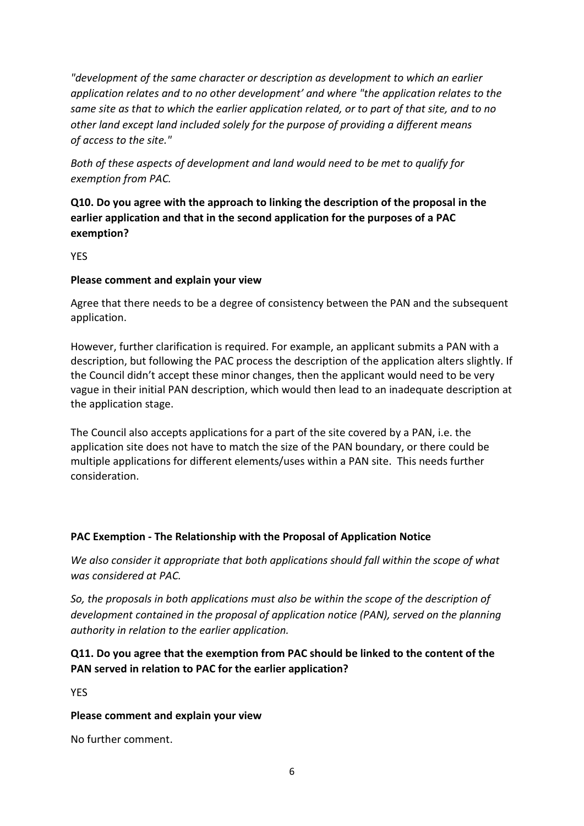*"development of the same character or description as development to which an earlier application relates and to no other development' and where "the application relates to the same site as that to which the earlier application related, or to part of that site, and to no other land except land included solely for the purpose of providing a different means of access to the site."*

*Both of these aspects of development and land would need to be met to qualify for exemption from PAC.*

**Q10. Do you agree with the approach to linking the description of the proposal in the earlier application and that in the second application for the purposes of a PAC exemption?**

**YFS** 

#### **Please comment and explain your view**

Agree that there needs to be a degree of consistency between the PAN and the subsequent application.

However, further clarification is required. For example, an applicant submits a PAN with a description, but following the PAC process the description of the application alters slightly. If the Council didn't accept these minor changes, then the applicant would need to be very vague in their initial PAN description, which would then lead to an inadequate description at the application stage.

The Council also accepts applications for a part of the site covered by a PAN, i.e. the application site does not have to match the size of the PAN boundary, or there could be multiple applications for different elements/uses within a PAN site. This needs further consideration.

#### **PAC Exemption - The Relationship with the Proposal of Application Notice**

*We also consider it appropriate that both applications should fall within the scope of what was considered at PAC.*

*So, the proposals in both applications must also be within the scope of the description of development contained in the proposal of application notice (PAN), served on the planning authority in relation to the earlier application.*

#### **Q11. Do you agree that the exemption from PAC should be linked to the content of the PAN served in relation to PAC for the earlier application?**

YES

#### **Please comment and explain your view**

No further comment.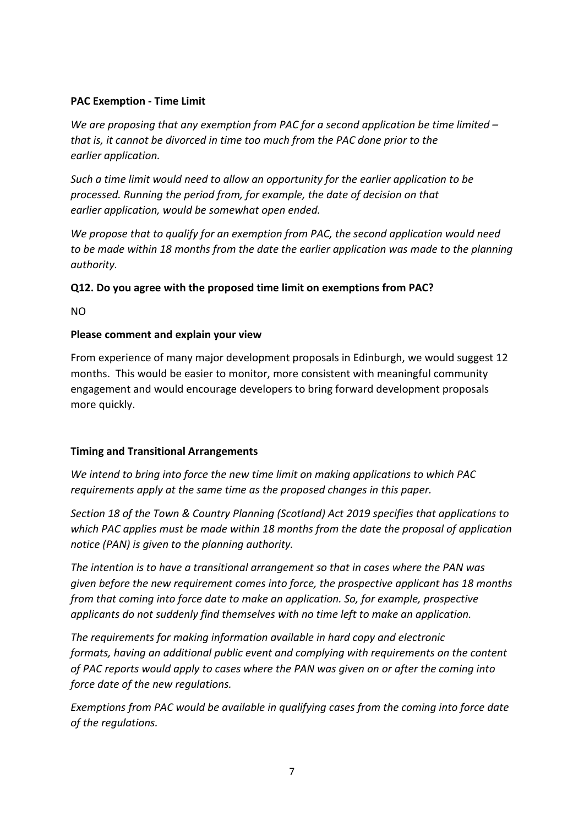#### **PAC Exemption - Time Limit**

*We are proposing that any exemption from PAC for a second application be time limited – that is, it cannot be divorced in time too much from the PAC done prior to the earlier application.*

*Such a time limit would need to allow an opportunity for the earlier application to be processed. Running the period from, for example, the date of decision on that earlier application, would be somewhat open ended.*

*We propose that to qualify for an exemption from PAC, the second application would need to be made within 18 months from the date the earlier application was made to the planning authority.*

#### **Q12. Do you agree with the proposed time limit on exemptions from PAC?**

NO

#### **Please comment and explain your view**

From experience of many major development proposals in Edinburgh, we would suggest 12 months. This would be easier to monitor, more consistent with meaningful community engagement and would encourage developers to bring forward development proposals more quickly.

#### **Timing and Transitional Arrangements**

*We intend to bring into force the new time limit on making applications to which PAC requirements apply at the same time as the proposed changes in this paper.*

*Section 18 of the Town & Country Planning (Scotland) Act 2019 specifies that applications to which PAC applies must be made within 18 months from the date the proposal of application notice (PAN) is given to the planning authority.*

*The intention is to have a transitional arrangement so that in cases where the PAN was given before the new requirement comes into force, the prospective applicant has 18 months from that coming into force date to make an application. So, for example, prospective applicants do not suddenly find themselves with no time left to make an application.*

*The requirements for making information available in hard copy and electronic formats, having an additional public event and complying with requirements on the content of PAC reports would apply to cases where the PAN was given on or after the coming into force date of the new regulations.*

*Exemptions from PAC would be available in qualifying cases from the coming into force date of the regulations.*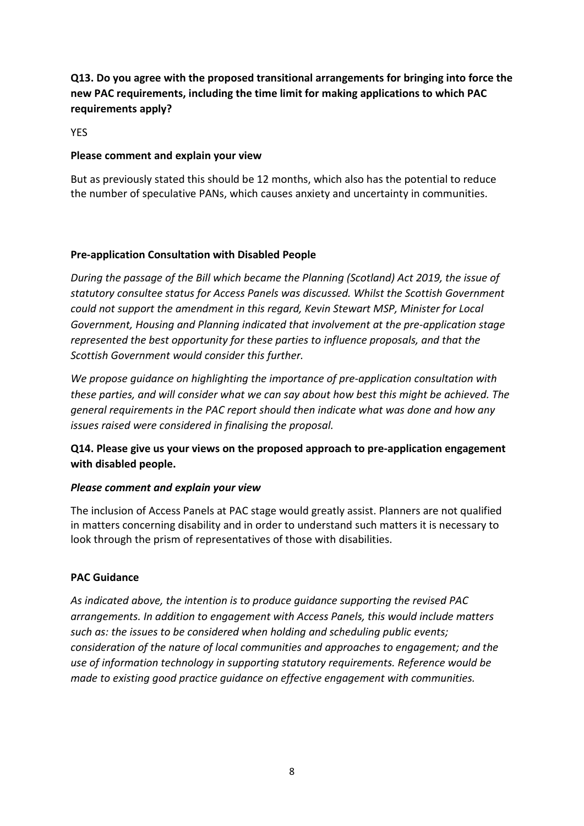## **Q13. Do you agree with the proposed transitional arrangements for bringing into force the new PAC requirements, including the time limit for making applications to which PAC requirements apply?**

YES

#### **Please comment and explain your view**

But as previously stated this should be 12 months, which also has the potential to reduce the number of speculative PANs, which causes anxiety and uncertainty in communities.

#### **Pre-application Consultation with Disabled People**

*During the passage of the Bill which became the Planning (Scotland) Act 2019, the issue of statutory consultee status for Access Panels was discussed. Whilst the Scottish Government could not support the amendment in this regard, Kevin Stewart MSP, Minister for Local Government, Housing and Planning indicated that involvement at the pre-application stage represented the best opportunity for these parties to influence proposals, and that the Scottish Government would consider this further.*

*We propose guidance on highlighting the importance of pre-application consultation with these parties, and will consider what we can say about how best this might be achieved. The general requirements in the PAC report should then indicate what was done and how any issues raised were considered in finalising the proposal.*

**Q14. Please give us your views on the proposed approach to pre-application engagement with disabled people.**

#### *Please comment and explain your view*

The inclusion of Access Panels at PAC stage would greatly assist. Planners are not qualified in matters concerning disability and in order to understand such matters it is necessary to look through the prism of representatives of those with disabilities.

#### **PAC Guidance**

*As indicated above, the intention is to produce guidance supporting the revised PAC arrangements. In addition to engagement with Access Panels, this would include matters such as: the issues to be considered when holding and scheduling public events; consideration of the nature of local communities and approaches to engagement; and the use of information technology in supporting statutory requirements. Reference would be made to existing good practice guidance on effective engagement with communities.*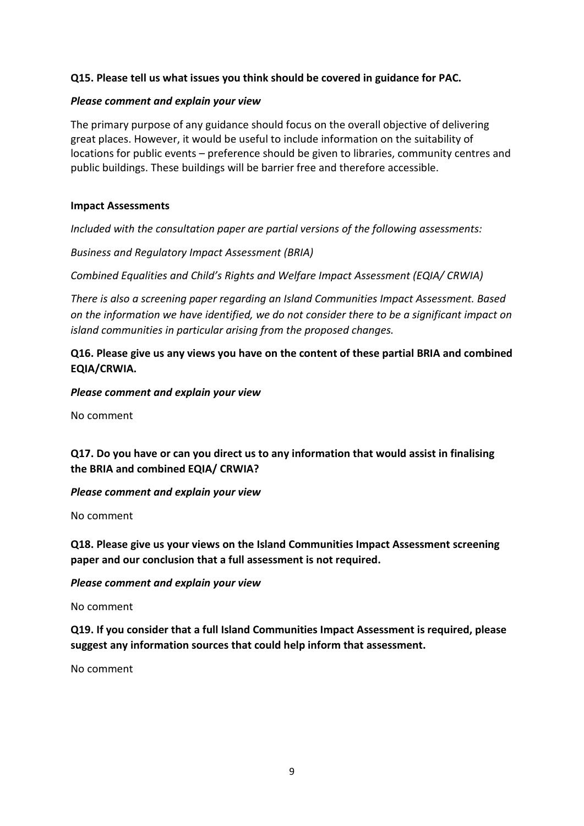#### **Q15. Please tell us what issues you think should be covered in guidance for PAC.**

#### *Please comment and explain your view*

The primary purpose of any guidance should focus on the overall objective of delivering great places. However, it would be useful to include information on the suitability of locations for public events – preference should be given to libraries, community centres and public buildings. These buildings will be barrier free and therefore accessible.

#### **Impact Assessments**

*Included with the consultation paper are partial versions of the following assessments:*

*Business and Regulatory Impact Assessment (BRIA)*

*Combined Equalities and Child's Rights and Welfare Impact Assessment (EQIA/ CRWIA)*

*There is also a screening paper regarding an Island Communities Impact Assessment. Based on the information we have identified, we do not consider there to be a significant impact on island communities in particular arising from the proposed changes.*

#### **Q16. Please give us any views you have on the content of these partial BRIA and combined EQIA/CRWIA.**

#### *Please comment and explain your view*

No comment

#### **Q17. Do you have or can you direct us to any information that would assist in finalising the BRIA and combined EQIA/ CRWIA?**

#### *Please comment and explain your view*

No comment

#### **Q18. Please give us your views on the Island Communities Impact Assessment screening paper and our conclusion that a full assessment is not required.**

#### *Please comment and explain your view*

No comment

**Q19. If you consider that a full Island Communities Impact Assessment is required, please suggest any information sources that could help inform that assessment.**

No comment